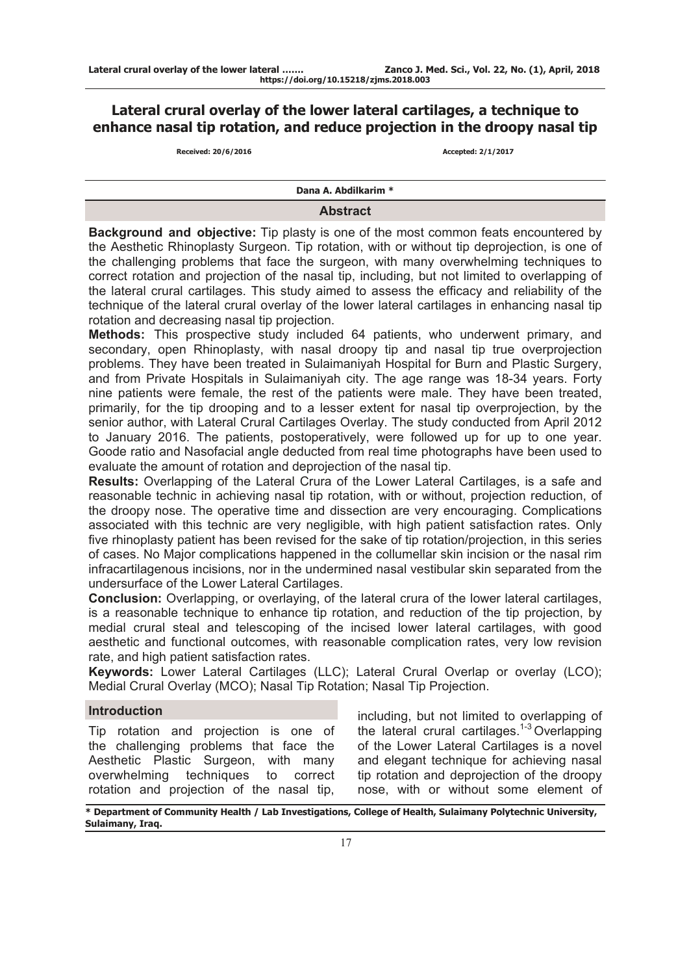# **Lateral crural overlay of the lower lateral cartilages, a technique to enhance nasal tip rotation, and reduce projection in the droopy nasal tip**<br>Received: 20/6/2016

**Received: 20/6/2016 Accepted: 2/1/2017**

**Dana A. Abdilkarim \***

# **Abstract**

**Background and objective:** Tip plasty is one of the most common feats encountered by the Aesthetic Rhinoplasty Surgeon. Tip rotation, with or without tip deprojection, is one of the challenging problems that face the surgeon, with many overwhelming techniques to correct rotation and projection of the nasal tip, including, but not limited to overlapping of the lateral crural cartilages. This study aimed to assess the efficacy and reliability of the technique of the lateral crural overlay of the lower lateral cartilages in enhancing nasal tip rotation and decreasing nasal tip projection.

**Methods:** This prospective study included 64 patients, who underwent primary, and secondary, open Rhinoplasty, with nasal droopy tip and nasal tip true overprojection problems. They have been treated in Sulaimaniyah Hospital for Burn and Plastic Surgery, and from Private Hospitals in Sulaimaniyah city. The age range was 18-34 years. Forty nine patients were female, the rest of the patients were male. They have been treated, primarily, for the tip drooping and to a lesser extent for nasal tip overprojection, by the senior author, with Lateral Crural Cartilages Overlay. The study conducted from April 2012 to January 2016. The patients, postoperatively, were followed up for up to one year. Goode ratio and Nasofacial angle deducted from real time photographs have been used to evaluate the amount of rotation and deprojection of the nasal tip.

**Results:** Overlapping of the Lateral Crura of the Lower Lateral Cartilages, is a safe and reasonable technic in achieving nasal tip rotation, with or without, projection reduction, of the droopy nose. The operative time and dissection are very encouraging. Complications associated with this technic are very negligible, with high patient satisfaction rates. Only five rhinoplasty patient has been revised for the sake of tip rotation/projection, in this series of cases. No Major complications happened in the collumellar skin incision or the nasal rim infracartilagenous incisions, nor in the undermined nasal vestibular skin separated from the undersurface of the Lower Lateral Cartilages.

**Conclusion:** Overlapping, or overlaying, of the lateral crura of the lower lateral cartilages, is a reasonable technique to enhance tip rotation, and reduction of the tip projection, by medial crural steal and telescoping of the incised lower lateral cartilages, with good aesthetic and functional outcomes, with reasonable complication rates, very low revision rate, and high patient satisfaction rates.

**Keywords:** Lower Lateral Cartilages (LLC); Lateral Crural Overlap or overlay (LCO); Medial Crural Overlay (MCO); Nasal Tip Rotation; Nasal Tip Projection.

## **Introduction**

Tip rotation and projection is one of the challenging problems that face the Aesthetic Plastic Surgeon, with many overwhelming techniques to correct rotation and projection of the nasal tip,

including, but not limited to overlapping of the lateral crural cartilages.<sup>1-3</sup> Overlapping of the Lower Lateral Cartilages is a novel and elegant technique for achieving nasal tip rotation and deprojection of the droopy nose, with or without some element of

**\* Department of Community Health / Lab Investigations, College of Health, Sulaimany Polytechnic University, Sulaimany, Iraq.**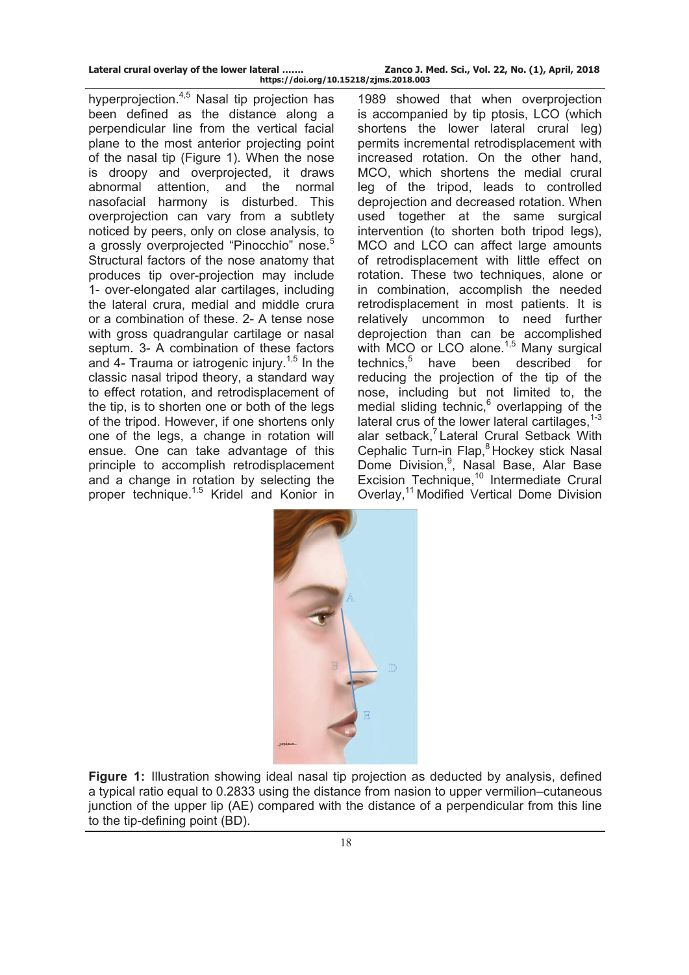| Lateral crural overlay of the lower lateral |  |  |  |
|---------------------------------------------|--|--|--|
|                                             |  |  |  |

Zanco J. Med. Sci., Vol. 22, No. (1), April, 2018 **https://doi.org/10.15218/zjms.2018.003**

hyperprojection.<sup>4,5</sup> Nasal tip projection has been defined as the distance along a perpendicular line from the vertical facial plane to the most anterior projecting point of the nasal tip (Figure 1). When the nose is droopy and overprojected, it draws abnormal attention, and the normal nasofacial harmony is disturbed. This overprojection can vary from a subtlety noticed by peers, only on close analysis, to a grossly overprojected "Pinocchio" nose.<sup>5</sup> Structural factors of the nose anatomy that produces tip over-projection may include 1- over-elongated alar cartilages, including the lateral crura, medial and middle crura or a combination of these. 2- A tense nose with gross quadrangular cartilage or nasal septum. 3- A combination of these factors and 4- Trauma or iatrogenic injury.<sup>1,5</sup> In the classic nasal tripod theory, a standard way to effect rotation, and retrodisplacement of the tip, is to shorten one or both of the legs of the tripod. However, if one shortens only one of the legs, a change in rotation will ensue. One can take advantage of this principle to accomplish retrodisplacement and a change in rotation by selecting the proper technique.1.5 Kridel and Konior in

1989 showed that when overprojection is accompanied by tip ptosis, LCO (which shortens the lower lateral crural leg) permits incremental retrodisplacement with increased rotation. On the other hand, MCO, which shortens the medial crural leg of the tripod, leads to controlled deprojection and decreased rotation. When used together at the same surgical intervention (to shorten both tripod legs), MCO and LCO can affect large amounts of retrodisplacement with little effect on rotation. These two techniques, alone or in combination, accomplish the needed retrodisplacement in most patients. It is relatively uncommon to need further deprojection than can be accomplished with MCO or LCO alone.<sup>1,5</sup> Many surgical technics.<sup>5</sup> have been described for reducing the projection of the tip of the nose, including but not limited to, the medial sliding technic,<sup>6</sup> overlapping of the lateral crus of the lower lateral cartilages. $1-3$ alar setback, $<sup>7</sup>$  Lateral Crural Setback With</sup> Cephalic Turn-in Flap.<sup>8</sup> Hockey stick Nasal Dome Division,<sup>9</sup>, Nasal Base, Alar Base Excision Technique,<sup>10</sup> Intermediate Crural Overlay,<sup>11</sup> Modified Vertical Dome Division



**Figure 1:** Illustration showing ideal nasal tip projection as deducted by analysis, defined a typical ratio equal to 0.2833 using the distance from nasion to upper vermilion–cutaneous junction of the upper lip (AE) compared with the distance of a perpendicular from this line to the tip-defining point (BD).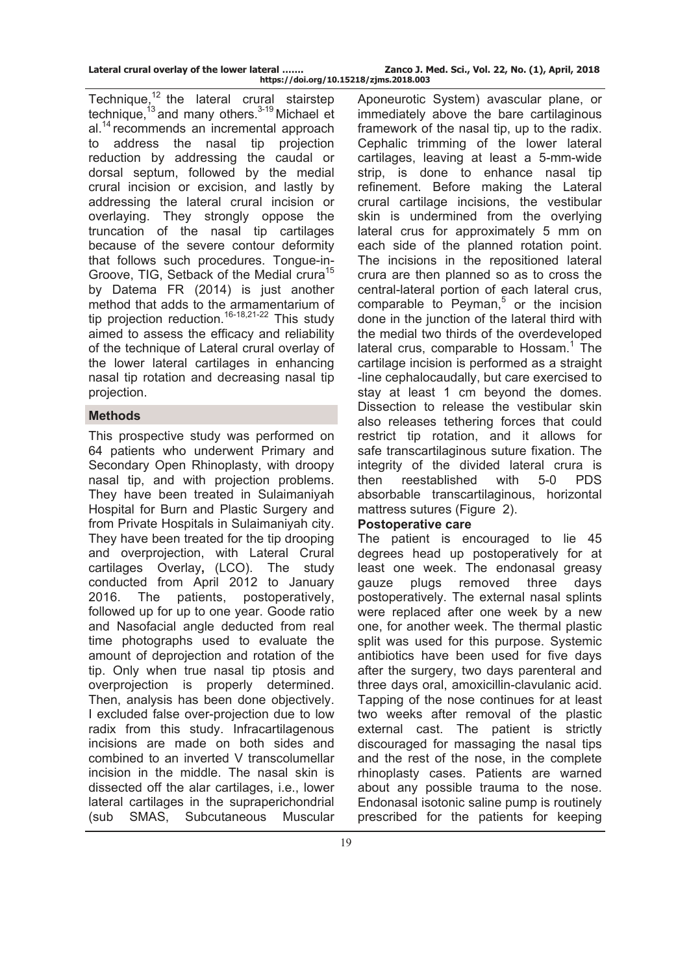Technique.<sup>12</sup> the lateral crural stairstep technique,  $13$  and many others.  $3-19$  Michael et al.<sup>14</sup> recommends an incremental approach to address the nasal tip projection reduction by addressing the caudal or dorsal septum, followed by the medial crural incision or excision, and lastly by addressing the lateral crural incision or overlaying. They strongly oppose the truncation of the nasal tip cartilages because of the severe contour deformity that follows such procedures. Tongue-in-Groove, TIG, Setback of the Medial crura<sup>15</sup> by [Datema FR](http://www.ncbi.nlm.nih.gov/pubmed/?term=Datema%20FR%5BAuthor%5D&cauthor=true&cauthor_uid=25491013) (2014) is just another method that adds to the armamentarium of tip projection reduction.<sup>16-18,21-22</sup> This study aimed to assess the efficacy and reliability of the technique of Lateral crural overlay of the lower lateral cartilages in enhancing nasal tip rotation and decreasing nasal tip projection.

# **Methods**

This prospective study was performed on 64 patients who underwent Primary and Secondary Open Rhinoplasty, with droopy nasal tip, and with projection problems. They have been treated in Sulaimaniyah Hospital for Burn and Plastic Surgery and from Private Hospitals in Sulaimaniyah city. They have been treated for the tip drooping and overprojection, with Lateral Crural cartilages Overlay**,** (LCO). The study conducted from April 2012 to January 2016. The patients, postoperatively, followed up for up to one year. Goode ratio and Nasofacial angle deducted from real time photographs used to evaluate the amount of deprojection and rotation of the tip. Only when true nasal tip ptosis and overprojection is properly determined. Then, analysis has been done objectively. I excluded false over-projection due to low radix from this study. Infracartilagenous incisions are made on both sides and combined to an inverted V transcolumellar incision in the middle. The nasal skin is dissected off the alar cartilages, i.e., lower lateral cartilages in the supraperichondrial (sub SMAS, Subcutaneous Muscular

Aponeurotic System) avascular plane, or immediately above the bare cartilaginous framework of the nasal tip, up to the radix. Cephalic trimming of the lower lateral cartilages, leaving at least a 5-mm-wide strip, is done to enhance nasal tip refinement. Before making the Lateral crural cartilage incisions, the vestibular skin is undermined from the overlying lateral crus for approximately 5 mm on each side of the planned rotation point. The incisions in the repositioned lateral crura are then planned so as to cross the central-lateral portion of each lateral crus, comparable to Peyman, $5$  or the incision done in the junction of the lateral third with the medial two thirds of the overdeveloped lateral crus, comparable to Hossam.<sup>1</sup> The cartilage incision is performed as a straight -line cephalocaudally, but care exercised to stay at least 1 cm beyond the domes. Dissection to release the vestibular skin also releases tethering forces that could restrict tip rotation, and it allows for safe transcartilaginous suture fixation. The integrity of the divided lateral crura is then reestablished with 5-0 PDS absorbable transcartilaginous, horizontal mattress sutures (Figure 2).

## **Postoperative care**

The patient is encouraged to lie 45 degrees head up postoperatively for at least one week. The endonasal greasy gauze plugs removed three days postoperatively. The external nasal splints were replaced after one week by a new one, for another week. The thermal plastic split was used for this purpose. Systemic antibiotics have been used for five days after the surgery, two days parenteral and three days oral, amoxicillin-clavulanic acid. Tapping of the nose continues for at least two weeks after removal of the plastic external cast. The patient is strictly discouraged for massaging the nasal tips and the rest of the nose, in the complete rhinoplasty cases. Patients are warned about any possible trauma to the nose. Endonasal isotonic saline pump is routinely prescribed for the patients for keeping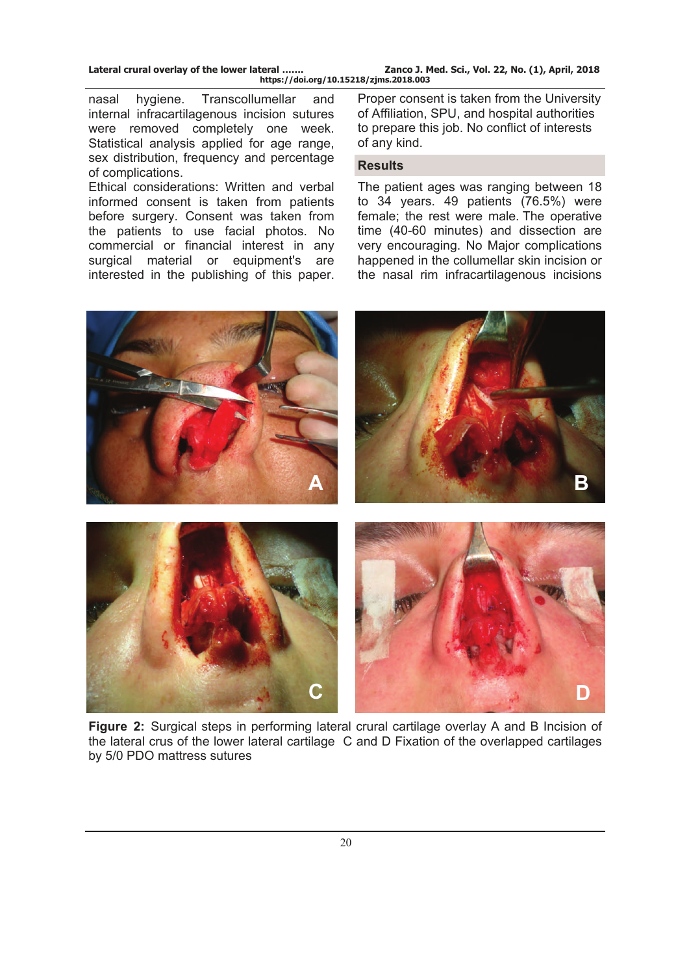nasal hygiene. Transcollumellar and internal infracartilagenous incision sutures were removed completely one week. Statistical analysis applied for age range, sex distribution, frequency and percentage of complications.

Ethical considerations: Written and verbal informed consent is taken from patients before surgery. Consent was taken from the patients to use facial photos. No commercial or financial interest in any surgical material or equipment's are interested in the publishing of this paper.

Proper consent is taken from the University of Affiliation, SPU, and hospital authorities to prepare this job. No conflict of interests of any kind.

#### **Results**

The patient ages was ranging between 18 to 34 years. 49 patients (76.5%) were female; the rest were male. The operative time (40-60 minutes) and dissection are very encouraging. No Major complications happened in the collumellar skin incision or the nasal rim infracartilagenous incisions



**Figure 2:** Surgical steps in performing lateral crural cartilage overlay A and B Incision of the lateral crus of the lower lateral cartilage C and D Fixation of the overlapped cartilages by 5/0 PDO mattress sutures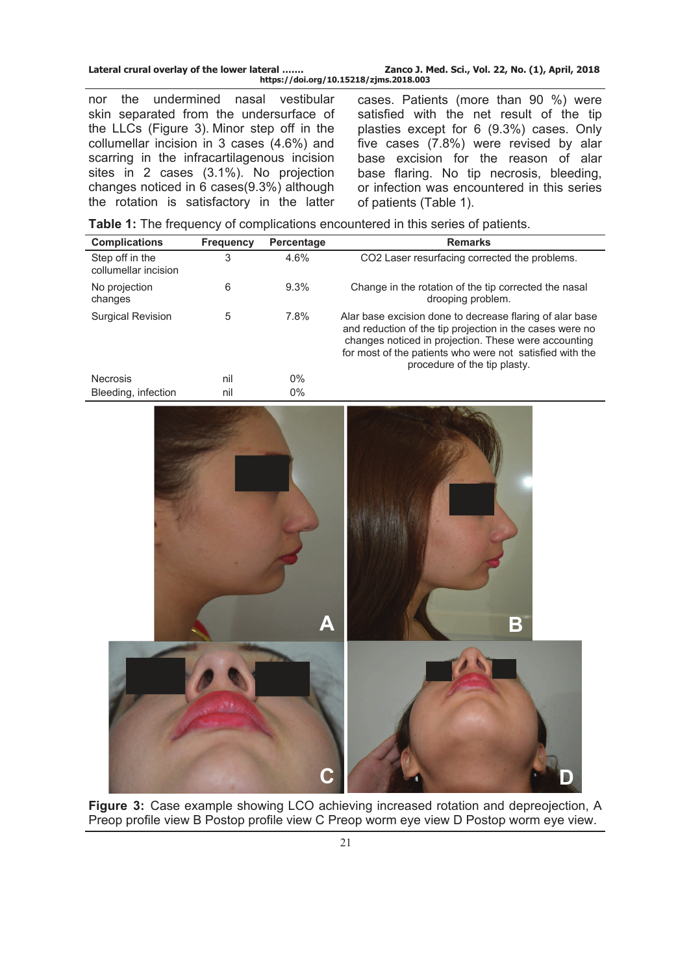| Lateral crural overlay of the lower lateral | Zanco J. Med. Sci., Vol. 22, No. (1), April, 2018 |
|---------------------------------------------|---------------------------------------------------|
| https://doi.org/10.15218/zjms.2018.003      |                                                   |

nor the undermined nasal vestibular skin separated from the undersurface of the LLCs (Figure 3). Minor step off in the collumellar incision in 3 cases (4.6%) and scarring in the infracartilagenous incision sites in 2 cases (3.1%). No projection changes noticed in 6 cases(9.3%) although the rotation is satisfactory in the latter

cases. Patients (more than 90 %) were satisfied with the net result of the tip plasties except for 6 (9.3%) cases. Only five cases (7.8%) were revised by alar base excision for the reason of alar base flaring. No tip necrosis, bleeding, or infection was encountered in this series of patients (Table 1).

**Table 1:** The frequency of complications encountered in this series of patients.

| <b>Complications</b>                    | <b>Frequency</b> | Percentage     | <b>Remarks</b>                                                                                                                                                                                                                                                           |  |  |
|-----------------------------------------|------------------|----------------|--------------------------------------------------------------------------------------------------------------------------------------------------------------------------------------------------------------------------------------------------------------------------|--|--|
| Step off in the<br>collumellar incision | 3                | 4.6%           | CO2 Laser resurfacing corrected the problems.                                                                                                                                                                                                                            |  |  |
| No projection<br>changes                | 6                | 9.3%           | Change in the rotation of the tip corrected the nasal<br>drooping problem.                                                                                                                                                                                               |  |  |
| <b>Surgical Revision</b>                | $\,$ 5 $\,$      | 7.8%           | Alar base excision done to decrease flaring of alar base<br>and reduction of the tip projection in the cases were no<br>changes noticed in projection. These were accounting<br>for most of the patients who were not satisfied with the<br>procedure of the tip plasty. |  |  |
| Necrosis<br>Bleeding, infection         | nil<br>nil       | $0\%$<br>$0\%$ |                                                                                                                                                                                                                                                                          |  |  |
|                                         |                  | A              | $\sf{B}$                                                                                                                                                                                                                                                                 |  |  |
|                                         |                  |                |                                                                                                                                                                                                                                                                          |  |  |

**Figure 3:** Case example showing LCO achieving increased rotation and depreojection, A Preop profile view B Postop profile view C Preop worm eye view D Postop worm eye view.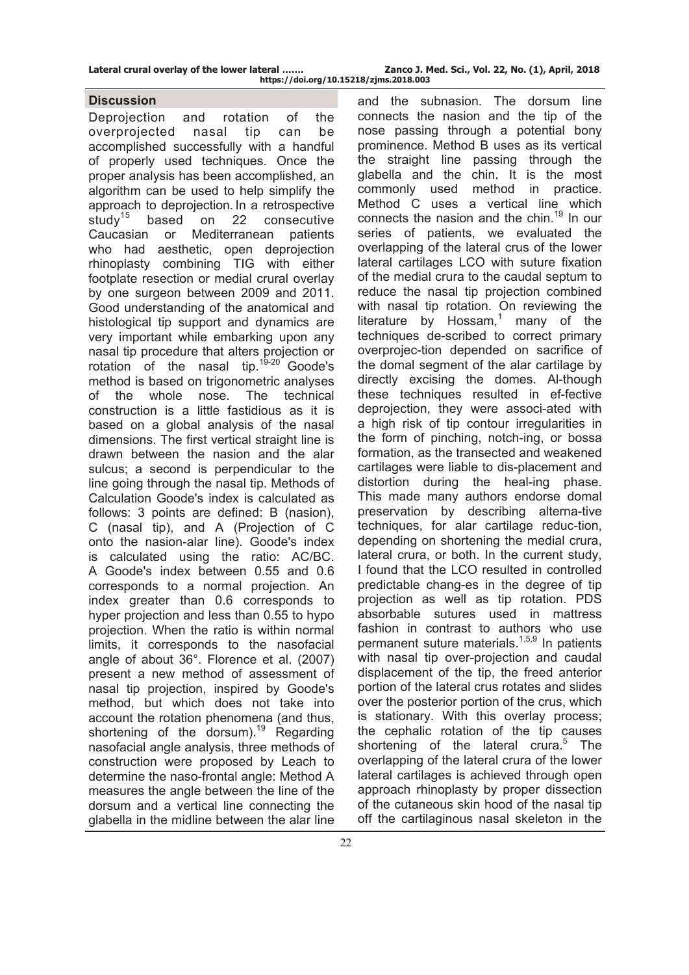#### **Discussion**

Deprojection and rotation of the overprojected nasal tip can be accomplished successfully with a handful of properly used techniques. Once the proper analysis has been accomplished, an algorithm can be used to help simplify the approach to deprojection. In a retrospective study<sup>15</sup> based on 22 consecutive Caucasian or Mediterranean patients who had aesthetic, open deprojection rhinoplasty combining TIG with either footplate resection or medial crural overlay by one surgeon between 2009 and 2011. Good understanding of the anatomical and histological tip support and dynamics are very important while embarking upon any nasal tip procedure that alters projection or rotation of the nasal tip.<sup>19-20</sup> Goode's method is based on trigonometric analyses of the whole nose. The technical construction is a little fastidious as it is based on a global analysis of the nasal dimensions. The first vertical straight line is drawn between the nasion and the alar sulcus; a second is perpendicular to the line going through the nasal tip. Methods of Calculation Goode's index is calculated as follows: 3 points are defined: B (nasion), C (nasal tip), and A (Projection of C onto the nasion-alar line). Goode's index is calculated using the ratio: AC/BC. A Goode's index between 0.55 and 0.6 corresponds to a normal projection. An index greater than 0.6 corresponds to hyper projection and less than 0.55 to hypo projection. When the ratio is within normal limits, it corresponds to the nasofacial angle of about 36°. Florence et al. (2007) present a new method of assessment of nasal tip projection, inspired by Goode's method, but which does not take into account the rotation phenomena (and thus, shortening of the dorsum).<sup>19</sup> Regarding nasofacial angle analysis, three methods of construction were proposed by Leach to determine the naso-frontal angle: Method A measures the angle between the line of the dorsum and a vertical line connecting the glabella in the midline between the alar line

and the subnasion. The dorsum line connects the nasion and the tip of the nose passing through a potential bony prominence. Method B uses as its vertical the straight line passing through the glabella and the chin. It is the most commonly used method in practice. Method C uses a vertical line which connects the nasion and the chin.<sup>19</sup> In our series of patients, we evaluated the overlapping of the lateral crus of the lower lateral cartilages LCO with suture fixation of the medial crura to the caudal septum to reduce the nasal tip projection combined with nasal tip rotation. On reviewing the literature by Hossam,<sup>1</sup> many of the techniques de-scribed to correct primary overprojec-tion depended on sacrifice of the domal segment of the alar cartilage by directly excising the domes. Al-though these techniques resulted in ef-fective deprojection, they were associ-ated with a high risk of tip contour irregularities in the form of pinching, notch-ing, or bossa formation, as the transected and weakened cartilages were liable to dis-placement and distortion during the heal-ing phase. This made many authors endorse domal preservation by describing alterna-tive techniques, for alar cartilage reduc-tion, depending on shortening the medial crura, lateral crura, or both. In the current study, I found that the LCO resulted in controlled predictable chang-es in the degree of tip projection as well as tip rotation. PDS absorbable sutures used in mattress fashion in contrast to authors who use permanent suture materials.<sup>1,5,9</sup> In patients with nasal tip over-projection and caudal displacement of the tip, the freed anterior portion of the lateral crus rotates and slides over the posterior portion of the crus, which is stationary. With this overlay process; the cephalic rotation of the tip causes shortening of the lateral crura.<sup>5</sup> The overlapping of the lateral crura of the lower lateral cartilages is achieved through open approach rhinoplasty by proper dissection of the cutaneous skin hood of the nasal tip off the cartilaginous nasal skeleton in the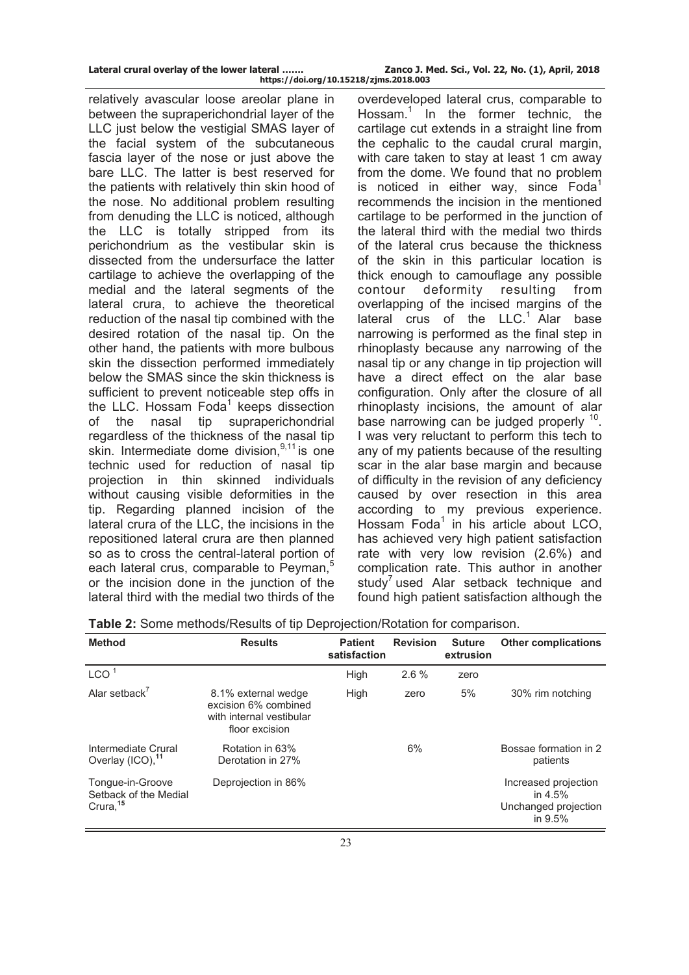relatively avascular loose areolar plane in between the supraperichondrial layer of the LLC just below the vestigial SMAS layer of the facial system of the subcutaneous fascia layer of the nose or just above the bare LLC. The latter is best reserved for the patients with relatively thin skin hood of the nose. No additional problem resulting from denuding the LLC is noticed, although the LLC is totally stripped from its perichondrium as the vestibular skin is dissected from the undersurface the latter cartilage to achieve the overlapping of the medial and the lateral segments of the lateral crura, to achieve the theoretical reduction of the nasal tip combined with the desired rotation of the nasal tip. On the other hand, the patients with more bulbous skin the dissection performed immediately below the SMAS since the skin thickness is sufficient to prevent noticeable step offs in the LLC. Hossam Foda<sup>1</sup> keeps dissection of the nasal tip supraperichondrial regardless of the thickness of the nasal tip skin. Intermediate dome division. $9,11$  is one technic used for reduction of nasal tip projection in thin skinned individuals without causing visible deformities in the tip. Regarding planned incision of the lateral crura of the LLC, the incisions in the repositioned lateral crura are then planned so as to cross the central-lateral portion of each lateral crus, comparable to Peyman.<sup>5</sup> or the incision done in the junction of the lateral third with the medial two thirds of the

overdeveloped lateral crus, comparable to Hossam.<sup>1</sup> In the former technic, the cartilage cut extends in a straight line from the cephalic to the caudal crural margin, with care taken to stay at least 1 cm away from the dome. We found that no problem is noticed in either way, since  $Foda<sup>1</sup>$ recommends the incision in the mentioned cartilage to be performed in the junction of the lateral third with the medial two thirds of the lateral crus because the thickness of the skin in this particular location is thick enough to camouflage any possible contour deformity resulting from overlapping of the incised margins of the lateral crus of the LLC.<sup>1</sup> Alar base narrowing is performed as the final step in rhinoplasty because any narrowing of the nasal tip or any change in tip projection will have a direct effect on the alar base configuration. Only after the closure of all rhinoplasty incisions, the amount of alar base narrowing can be judged properly  $10$ . I was very reluctant to perform this tech to any of my patients because of the resulting scar in the alar base margin and because of difficulty in the revision of any deficiency caused by over resection in this area according to my previous experience. Hossam Foda<sup>1</sup> in his article about LCO, has achieved very high patient satisfaction rate with very low revision (2.6%) and complication rate. This author in another study<sup>7</sup> used Alar setback technique and found high patient satisfaction although the

| <b>Method</b>                                                     | <b>Results</b>                                                                            | <b>Patient</b><br>satisfaction | <b>Revision</b> | <b>Suture</b><br>extrusion | <b>Other complications</b>                                           |
|-------------------------------------------------------------------|-------------------------------------------------------------------------------------------|--------------------------------|-----------------|----------------------------|----------------------------------------------------------------------|
| LCO <sup>1</sup>                                                  |                                                                                           | High                           | 2.6%            | zero                       |                                                                      |
| Alar setback $^7$                                                 | 8.1% external wedge<br>excision 6% combined<br>with internal vestibular<br>floor excision | <b>High</b>                    | zero            | 5%                         | 30% rim notching                                                     |
| Intermediate Crural<br>Overlay (ICO), <sup>11</sup>               | Rotation in 63%<br>Derotation in 27%                                                      |                                | 6%              |                            | Bossae formation in 2<br>patients                                    |
| Tonque-in-Groove<br>Setback of the Medial<br>Crura, <sup>15</sup> | Deprojection in 86%                                                                       |                                |                 |                            | Increased projection<br>in $4.5%$<br>Unchanged projection<br>in 9.5% |

**Table 2:** Some methods/Results of tip Deprojection/Rotation for comparison.